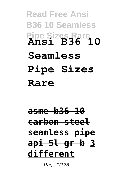**Read Free Ansi B36 10 Seamless Pipe Sizes Rare Ansi B36 10 Seamless Pipe Sizes Rare**

**asme b36 10 carbon steel seamless pipe api 5l gr b 3 different**

Page  $1/126$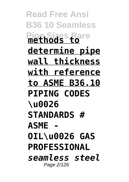**Read Free Ansi B36 10 Seamless Pipe Sizes Rare methods to determine pipe wall thickness with reference to ASME B36.10 PIPING CODES \u0026 STANDARDS # ASME - OIL\u0026 GAS PROFESSIONAL** *seamless steel* Page 2/126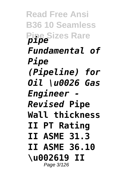**Read Free Ansi B36 10 Seamless Pipe Sizes Rare** *pipe Fundamental of Pipe (Pipeline) for Oil \u0026 Gas Engineer - Revised* **Pipe Wall thickness II PT Rating II ASME 31.3 II ASME 36.10 \u002619 II** Page 3/126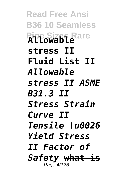**Read Free Ansi B36 10 Seamless Pipe Sizes Rare Allowable stress II Fluid List II**  *Allowable stress II ASME B31.3 II Stress Strain Curve II Tensile \u0026 Yield Stress II Factor of Safety* **what is** Page 4/126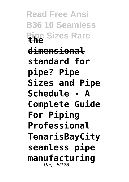**Read Free Ansi B36 10 Seamless Pipe Sizes Rare the dimensional standard for pipe? Pipe Sizes and Pipe Schedule - A Complete Guide For Piping Professional TenarisBayCity seamless pipe manufacturing** Page 5/126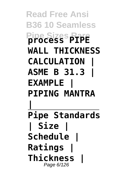**Read Free Ansi B36 10 Seamless Pipe Sizes Rare process PIPE WALL THICKNESS CALCULATION | ASME B 31.3 | EXAMPLE | PIPING MANTRA | Pipe Standards | Size | Schedule | Ratings | Thickness |** Page 6/126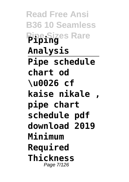**Read Free Ansi B36 10 Seamless Pipe Sizes Rare Piping Analysis Pipe schedule chart od \u0026 cf kaise nikale , pipe chart schedule pdf download 2019 Minimum Required Thickness** Page 7/126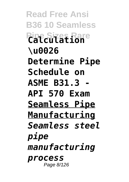**Read Free Ansi B36 10 Seamless Pipe Sizes Rare Calculation \u0026 Determine Pipe Schedule on ASME B31.3 - API 570 Exam Seamless Pipe Manufacturing** *Seamless steel pipe manufacturing process* Page 8/126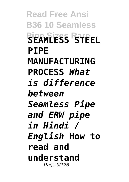**Read Free Ansi B36 10 Seamless Pipe Sizes Rare SEAMLESS STEEL PIPE MANUFACTURING PROCESS** *What is difference between Seamless Pipe and ERW pipe in Hindi / English* **How to read and understand** Page 9/126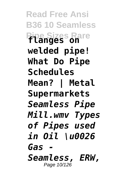**Read Free Ansi B36 10 Seamless Pipe Sizes Rare flanges on welded pipe! What Do Pipe Schedules Mean? | Metal Supermarkets** *Seamless Pipe Mill.wmv Types of Pipes used in Oil \u0026 Gas - Seamless, ERW,* Page 10/126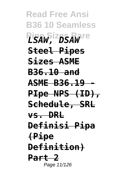**Read Free Ansi B36 10 Seamless**  $L$ *SAW*, *<sup>2</sup>DSAW*<sup>re</sup> **Steel Pipes Sizes ASME B36.10 and ASME B36.19 - PIpe NPS (ID), Schedule, SRL vs. DRL Definisi Pipa (Pipe Definition) Part 2** Page 11/126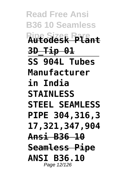**Read Free Ansi B36 10 Seamless Pipe Sizes Rare Autodesk Plant 3D\_Tip 01 SS 904L Tubes Manufacturer in India STAINLESS STEEL SEAMLESS PIPE 304,316,3 17,321,347,904 Ansi B36 10 Seamless Pipe ANSI B36.10** Page 12/126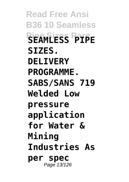**Read Free Ansi B36 10 Seamless Pipe Sizes Rare SEAMLESS PIPE SIZES. DEL TVERY PROGRAMME. SABS/SANS 719 Welded Low pressure application for Water & Mining Industries As per spec** Page 13/126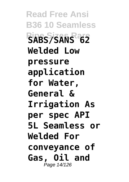**Read Free Ansi B36 10 Seamless Pipe Sizes Rare SABS/SANS 62 Welded Low pressure application for Water, General & Irrigation As per spec API 5L Seamless or Welded For conveyance of Gas, Oil and** Page 14/126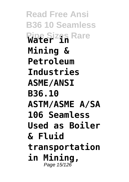**Read Free Ansi B36 10 Seamless Pipe Sizes Rare Water in Mining & Petroleum Industries ASME/ANSI B36.10 ASTM/ASME A/SA 106 Seamless Used as Boiler & Fluid transportation in Mining,** Page 15/126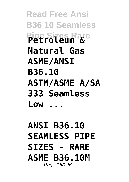**Read Free Ansi B36 10 Seamless Pipe Sizes Rare Petroleum & Natural Gas ASME/ANSI B36.10 ASTM/ASME A/SA 333 Seamless Low ...**

**ANSI B36.10 SEAMLESS PIPE SIZES - RARE ASME B36.10M** Page 16/126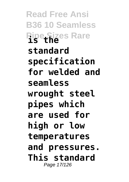**Read Free Ansi B36 10 Seamless Pipe Sizes Rare standard specification for welded and seamless wrought steel pipes which are used for high or low temperatures and pressures. This standard** Page 17/126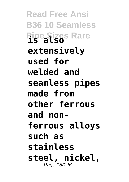**Read Free Ansi B36 10 Seamless Pipe Sizes Rare extensively used for welded and seamless pipes made from other ferrous and nonferrous alloys such as stainless steel, nickel,** Page 18/126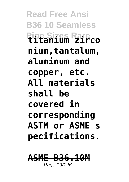**Read Free Ansi B36 10 Seamless Pipe Sizes Rare titanium zirco nium,tantalum, aluminum and copper, etc. All materials shall be covered in corresponding ASTM or ASME s pecifications.**

## **ASME B36.10M** Page 19/126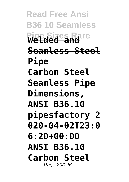**Read Free Ansi B36 10 Seamless Pipe Sizes Rare Welded and Seamless Steel Pipe Carbon Steel Seamless Pipe Dimensions, ANSI B36.10 pipesfactory 2 020-04-02T23:0 6:20+00:00 ANSI B36.10 Carbon Steel** Page 20/126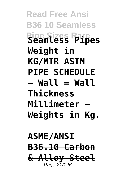**Read Free Ansi B36 10 Seamless Pipe Sizes Rare Seamless Pipes Weight in KG/MTR ASTM PIPE SCHEDULE – Wall = Wall Thickness Millimeter – Weights in Kg.**

## **ASME/ANSI B36.10 Carbon & Alloy Steel** Page 21/126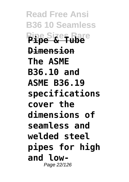**Read Free Ansi B36 10 Seamless Pipe Sizes Rare Pipe & Tube Dimension The ASME B36.10 and ASME B36.19 specifications cover the dimensions of seamless and welded steel pipes for high and low-**Page 22/126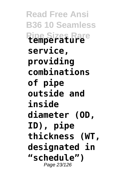**Read Free Ansi B36 10 Seamless Pipe Sizes Rare temperature service, providing combinations of pipe outside and inside diameter (OD, ID), pipe thickness (WT, designated in "schedule")** Page 23/126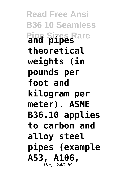**Read Free Ansi B36 10 Seamless Pipe Sizes Rare and pipes theoretical weights (in pounds per foot and kilogram per meter). ASME B36.10 applies to carbon and alloy steel pipes (example A53, A106,** Page 24/126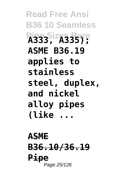**Read Free Ansi B36 10 Seamless Pipe Sizes Rare A333, A335); ASME B36.19 applies to stainless steel, duplex, and nickel alloy pipes (like ...**

**ASME B36.10/36.19 Pipe** Page 25/126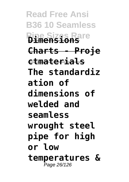**Read Free Ansi B36 10 Seamless Pipe Sizes Rare Dimensions Charts - Proje ctmaterials The standardiz ation of dimensions of welded and seamless wrought steel pipe for high or low temperatures &** Page 26/126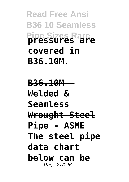**Read Free Ansi B36 10 Seamless Pipe Sizes Rare pressures are covered in B36.10M.**

**B36.10M - Welded & Seamless Wrought Steel Pipe - ASME The steel pipe data chart below can be** Page 27/126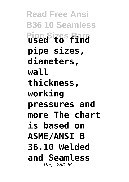**Read Free Ansi B36 10 Seamless Pipe Sizes Rare used to find pipe sizes, diameters, wall thickness, working pressures and more The chart is based on ASME/ANSI B 36.10 Welded and Seamless** Page 28/126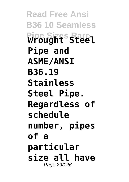**Read Free Ansi B36 10 Seamless Pipe Sizes Rare Wrought Steel Pipe and ASME/ANSI B36.19 Stainless Steel Pipe. Regardless of schedule number, pipes of a particular size all have** Page 29/126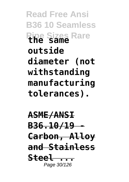**Read Free Ansi B36 10 Seamless Pipe Sizes Rare the same outside diameter (not withstanding manufacturing tolerances).**

**ASME/ANSI B36.10/19 - Carbon, Alloy and Stainless Steel ...** Page 30/126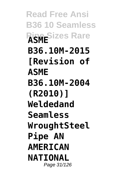**Read Free Ansi B36 10 Seamless Pipe Sizes Rare B36.10M-2015 [Revision of ASME B36.10M-2004 (R2010)] Weldedand Seamless WroughtSteel Pipe AN AMERICAN NATIONAL** Page 31/126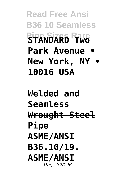**Read Free Ansi B36 10 Seamless Pipe Sizes Rare STANDARD Two Park Avenue • New York, NY • 10016 USA**

**Welded and Seamless Wrought Steel Pipe ASME/ANSI B36.10/19. ASME/ANSI** Page 32/126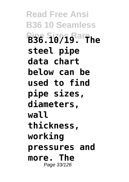**Read Free Ansi B36 10 Seamless Pipe Sizes Rare B36.10/19. The steel pipe data chart below can be used to find pipe sizes, diameters, wall thickness, working pressures and more. The** Page 33/126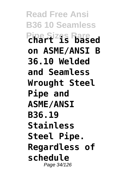**Read Free Ansi B36 10 Seamless Pipe Sizes Rare chart is based on ASME/ANSI B 36.10 Welded and Seamless Wrought Steel Pipe and ASME/ANSI B36.19 Stainless Steel Pipe. Regardless of schedule** Page 34/126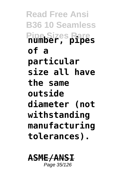**Read Free Ansi B36 10 Seamless Pipe Sizes Rare number, pipes of a particular size all have the same outside diameter (not withstanding manufacturing tolerances).**

## **ASME/ANSI** Page 35/126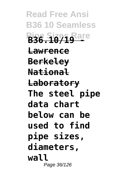**Read Free Ansi B36 10 Seamless Pipe Sizes Rare B36.10/19 - Lawrence Berkeley National Laboratory The steel pipe data chart below can be used to find pipe sizes, diameters, wall** Page 36/126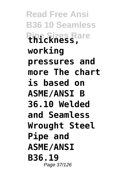**Read Free Ansi B36 10 Seamless Pipe Sizes Rare thickness, working pressures and more The chart is based on ASME/ANSI B 36.10 Welded and Seamless Wrought Steel Pipe and ASME/ANSI B36.19** Page 37/126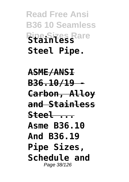## **Read Free Ansi B36 10 Seamless Pipe Sizes Rare Stainless Steel Pipe.**

**ASME/ANSI B36.10/19 - Carbon, Alloy and Stainless Steel ... Asme B36.10 And B36.19 Pipe Sizes, Schedule and** Page 38/126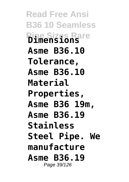**Read Free Ansi B36 10 Seamless Pipe Sizes Rare Dimensions Asme B36.10 Tolerance, Asme B36.10 Material Properties, Asme B36 19m, Asme B36.19 Stainless Steel Pipe. We manufacture Asme B36.19** Page 39/126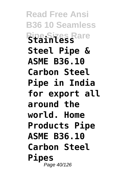**Read Free Ansi B36 10 Seamless Pipe Sizes Rare Stainless Steel Pipe & ASME B36.10 Carbon Steel Pipe in India for export all around the world. Home Products Pipe ASME B36.10 Carbon Steel Pipes** Page 40/126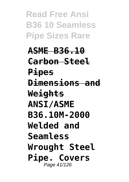**Read Free Ansi B36 10 Seamless Pipe Sizes Rare**

**ASME B36.10 Carbon Steel Pipes Dimensions and Weights ANSI/ASME B36.10M-2000 Welded and Seamless Wrought Steel Pipe. Covers** Page 41/126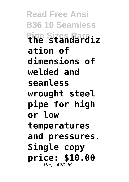**Read Free Ansi B36 10 Seamless Pipe Sizes Rare the standardiz ation of dimensions of welded and seamless wrought steel pipe for high or low temperatures and pressures. Single copy price: \$10.00** Page 42/126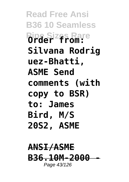**Read Free Ansi B36 10 Seamless Pipe Sizes Rare Order from: Silvana Rodrig uez-Bhatti, ASME Send comments (with copy to BSR) to: James Bird, M/S 20S2, ASME**

## **ANSI/ASME B36.10M-2000** Page 43/126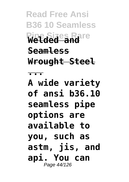**Read Free Ansi B36 10 Seamless Pipe Sizes Rare Welded and Seamless Wrought Steel ... A wide variety of ansi b36.10 seamless pipe options are available to you, such as astm, jis, and api. You can** Page 44/126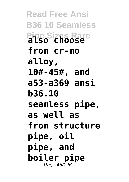**Read Free Ansi B36 10 Seamless Pipe Sizes Rare also choose from cr-mo alloy, 10#-45#, and a53-a369 ansi b36.10 seamless pipe, as well as from structure pipe, oil pipe, and boiler pipe** Page 45/126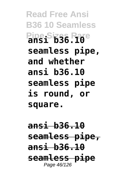**Read Free Ansi B36 10 Seamless Pipe Sizes Rare ansi b36.10 seamless pipe, and whether ansi b36.10 seamless pipe is round, or square.**

**ansi b36.10 seamless pipe, ansi b36.10 seamless pipe** Page 46/126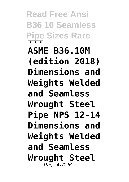**Read Free Ansi B36 10 Seamless Pipe Sizes Rare ... ASME B36.10M (edition 2018) Dimensions and Weights Welded and Seamless Wrought Steel Pipe NPS 12-14 Dimensions and Weights Welded and Seamless Wrought Steel** Page 47/126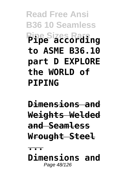**Read Free Ansi B36 10 Seamless Pipe Sizes Rare Pipe according to ASME B36.10 part D EXPLORE the WORLD of PIPING**

**Dimensions and Weights Welded and Seamless Wrought Steel ... Dimensions and**

Page 48/126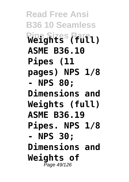**Read Free Ansi B36 10 Seamless Pipe Sizes Rare Weights (full) ASME B36.10 Pipes (11 pages) NPS 1/8 - NPS 80; Dimensions and Weights (full) ASME B36.19 Pipes. NPS 1/8 - NPS 30; Dimensions and Weights of** Page 49/126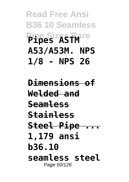**Read Free Ansi B36 10 Seamless Pipe Sizes Rare Pipes ASTM A53/A53M. NPS 1/8 - NPS 26**

**Dimensions of Welded and Seamless Stainless Steel Pipe ... 1,179 ansi b36.10 seamless steel** Page 50/126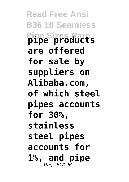**Read Free Ansi B36 10 Seamless Pipe Sizes Rare pipe products are offered for sale by suppliers on Alibaba.com, of which steel pipes accounts for 30%, stainless steel pipes accounts for 1%, and pipe** Page 51/126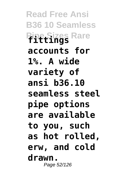**Read Free Ansi B36 10 Seamless Pipe Sizes Rare fittings accounts for 1%. A wide variety of ansi b36.10 seamless steel pipe options are available to you, such as hot rolled, erw, and cold drawn.** Page 52/126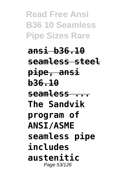**Read Free Ansi B36 10 Seamless Pipe Sizes Rare**

**ansi b36.10 seamless steel pipe, ansi b36.10 seamless ... The Sandvik program of ANSI/ASME seamless pipe includes austenitic** Page 53/126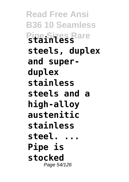**Read Free Ansi B36 10 Seamless Pipe Sizes Rare stainless steels, duplex and superduplex stainless steels and a high-alloy austenitic stainless steel. ... Pipe is stocked** Page 54/126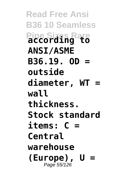**Read Free Ansi B36 10 Seamless Pipe Sizes Rare according to ANSI/ASME B36.19. OD = outside diameter, WT = wall thickness. Stock standard items: C = Central warehouse (Europe), U =** Page 55/126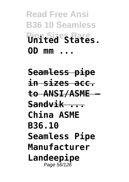**Read Free Ansi B36 10 Seamless Pipe Sizes Rare United States. OD mm ...**

**Seamless pipe in sizes acc. to ANSI/ASME — Sandvik ... China ASME B36.10 Seamless Pipe Manufacturer Landeepipe** Page 56/126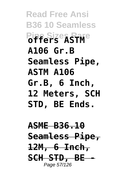**Read Free Ansi B36 10 Seamless Pipe Sizes Rare offers ASTM A106 Gr.B Seamless Pipe, ASTM A106 Gr.B, 6 Inch, 12 Meters, SCH STD, BE Ends.**

**ASME B36.10 Seamless Pipe, 12M, 6 Inch, SCH STD, BE -** Page 57/126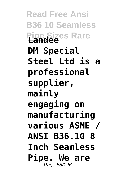**Read Free Ansi B36 10 Seamless Pipe Sizes Rare Landee DM Special Steel Ltd is a professional supplier, mainly engaging on manufacturing various ASME / ANSI B36.10 8 Inch Seamless Pipe. We are** Page 58/126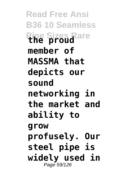**Read Free Ansi B36 10 Seamless Pipe Sizes Rare the proud member of MASSMA that depicts our sound networking in the market and ability to grow profusely. Our steel pipe is widely used in** Page 59/126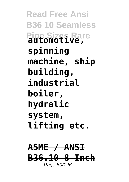**Read Free Ansi B36 10 Seamless Pipe Sizes Rare automotive, spinning machine, ship building, industrial boiler, hydralic system, lifting etc.**

## **ASME / ANSI B36.10 8 Inch** Page 60/126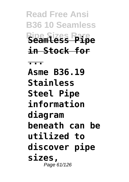**Read Free Ansi B36 10 Seamless Pipe Sizes Rare Seamless Pipe in Stock for**

**...**

**Asme B36.19 Stainless Steel Pipe information diagram beneath can be utilized to discover pipe sizes,** Page 61/126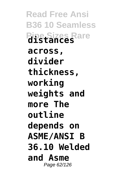**Read Free Ansi B36 10 Seamless Pipe Sizes Rare distances across, divider thickness, working weights and more The outline depends on ASME/ANSI B 36.10 Welded and Asme** Page 62/126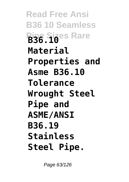**Read Free Ansi B36 10 Seamless Pipe Sizes Rare B36.10 Material Properties and Asme B36.10 Tolerance Wrought Steel Pipe and ASME/ANSI B36.19 Stainless Steel Pipe.**

Page 63/126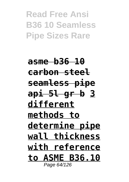**Read Free Ansi B36 10 Seamless Pipe Sizes Rare**

**asme b36 10 carbon steel seamless pipe api 5l gr b 3 different methods to determine pipe wall thickness with reference to ASME B36.10** Page 64/126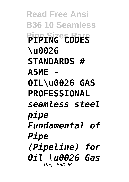**Read Free Ansi B36 10 Seamless Pipe Sizes Rare PIPING CODES \u0026 STANDARDS # ASME - OIL\u0026 GAS PROFESSIONAL** *seamless steel pipe Fundamental of Pipe (Pipeline) for Oil \u0026 Gas* Page 65/126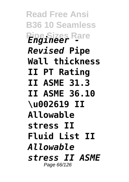**Read Free Ansi B36 10 Seamless Pipe Sizes Rare** *Engineer - Revised* **Pipe Wall thickness II PT Rating II ASME 31.3 II ASME 36.10 \u002619 II Allowable stress II Fluid List II**  *Allowable stress II ASME* Page 66/126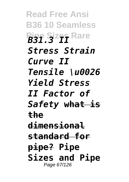**Read Free Ansi B36 10 Seamless Pipe Sizes Rare** *Stress Strain Curve II Tensile \u0026 Yield Stress II Factor of Safety* **what is the dimensional standard for pipe? Pipe Sizes and Pipe** Page 67/126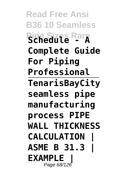**Read Free Ansi B36 10 Seamless Pipe Sizes Rare Schedule - A Complete Guide For Piping Professional TenarisBayCity seamless pipe manufacturing process PIPE WALL THICKNESS CALCULATION | ASME B 31.3 | EXAMPLE |** Page 68/126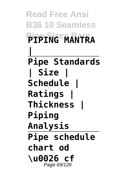**Read Free Ansi B36 10 Seamless Pipe Sizes Rare PIPING MANTRA | Pipe Standards | Size | Schedule | Ratings | Thickness | Piping Analysis Pipe schedule chart od \u0026 cf** Page 69/126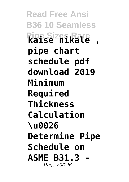**Read Free Ansi B36 10 Seamless Pipe Sizes Rare kaise nikale , pipe chart schedule pdf download 2019 Minimum Required Thickness Calculation \u0026 Determine Pipe Schedule on ASME B31.3 -** Page 70/126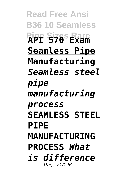**Read Free Ansi B36 10 Seamless Pipe Sizes Rare API 570 Exam Seamless Pipe Manufacturing** *Seamless steel pipe manufacturing process* **SEAMLESS STEEL PIPE MANUFACTURING PROCESS** *What is difference* Page 71/126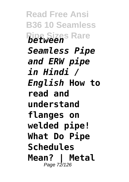**Read Free Ansi B36 10 Seamless Pipe Sizes Rare** *between Seamless Pipe and ERW pipe in Hindi / English* **How to read and understand flanges on welded pipe! What Do Pipe Schedules Mean? | Metal** Page 72/126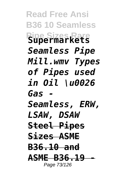**Read Free Ansi B36 10 Seamless Pipe Sizes Rare Supermarkets** *Seamless Pipe Mill.wmv Types of Pipes used in Oil \u0026 Gas - Seamless, ERW, LSAW, DSAW* **Steel Pipes Sizes ASME B36.10 and ASME B36.19** Page 73/126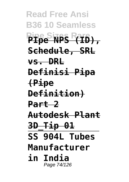**Read Free Ansi B36 10 Seamless Pipe Sizes Rare PIpe NPS (ID), Schedule, SRL vs. DRL Definisi Pipa (Pipe Definition) Part 2 Autodesk Plant 3D\_Tip 01 SS 904L Tubes Manufacturer in India** Page 74/126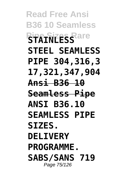**Read Free Ansi B36 10 Seamless Pipe Sizes Rare STEEL SEAMLESS PIPE 304,316,3 17,321,347,904 Ansi B36 10 Seamless Pipe ANSI B36.10 SEAMLESS PIPE SIZES. DELIVERY PROGRAMME. SABS/SANS 719** Page 75/126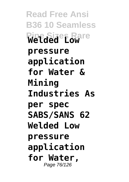**Read Free Ansi B36 10 Seamless Welded Power pressure application for Water & Mining Industries As per spec SABS/SANS 62 Welded Low pressure application for Water,** Page 76/126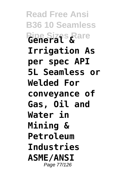**Read Free Ansi B36 10 Seamless Pipe Sizes Rare General & Irrigation As per spec API 5L Seamless or Welded For conveyance of Gas, Oil and Water in Mining & Petroleum Industries ASME/ANSI** Page 77/126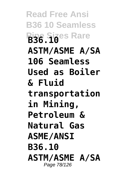**Read Free Ansi B36 10 Seamless Pipe Sizes Rare B36.10 ASTM/ASME A/SA 106 Seamless Used as Boiler & Fluid transportation in Mining, Petroleum & Natural Gas ASME/ANSI B36.10 ASTM/ASME A/SA** Page 78/126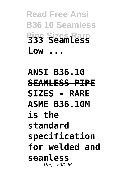**Read Free Ansi B36 10 Seamless Pipe Sizes Rare 333 Seamless Low ...**

**ANSI B36.10 SEAMLESS PIPE SIZES - RARE ASME B36.10M is the standard specification for welded and seamless** Page 79/126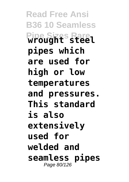**Read Free Ansi B36 10 Seamless Pipe Sizes Rare wrought steel pipes which are used for high or low temperatures and pressures. This standard is also extensively used for welded and seamless pipes** Page 80/126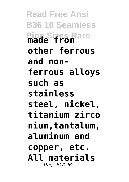**Read Free Ansi B36 10 Seamless Pipe Sizes Rare made from other ferrous and nonferrous alloys such as stainless steel, nickel, titanium zirco nium,tantalum, aluminum and copper, etc. All materials** Page 81/126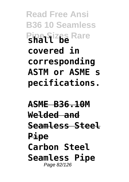**Read Free Ansi B36 10 Seamless Pipe Sizes Rare covered in corresponding ASTM or ASME s pecifications.**

**ASME B36.10M Welded and Seamless Steel Pipe Carbon Steel Seamless Pipe** Page 82/126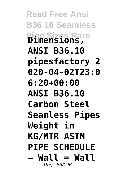**Read Free Ansi B36 10 Seamless Pipe Sizes Rare Dimensions, ANSI B36.10 pipesfactory 2 020-04-02T23:0 6:20+00:00 ANSI B36.10 Carbon Steel Seamless Pipes Weight in KG/MTR ASTM PIPE SCHEDULE – Wall = Wall** Page 83/126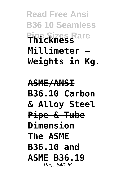**Read Free Ansi B36 10 Seamless Pipe Sizes Rare Thickness Millimeter – Weights in Kg.**

**ASME/ANSI B36.10 Carbon & Alloy Steel Pipe & Tube Dimension The ASME B36.10 and ASME B36.19** Page 84/126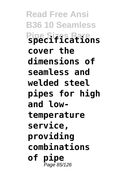**Read Free Ansi B36 10 Seamless Pipe Sizes Rare specifications cover the dimensions of seamless and welded steel pipes for high and lowtemperature service, providing combinations of pipe** Page 85/126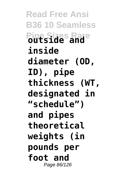**Read Free Ansi B36 10 Seamless Pipe Sizes Rare outside and inside diameter (OD, ID), pipe thickness (WT, designated in "schedule") and pipes theoretical weights (in pounds per foot and** Page 86/126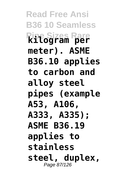**Read Free Ansi B36 10 Seamless Pipe Sizes Rare kilogram per meter). ASME B36.10 applies to carbon and alloy steel pipes (example A53, A106, A333, A335); ASME B36.19 applies to stainless steel, duplex,** Page 87/126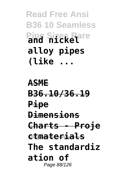**Read Free Ansi B36 10 Seamless Pipe Sizes Rare and nickel alloy pipes (like ...**

**ASME B36.10/36.19 Pipe Dimensions Charts - Proje ctmaterials The standardiz ation of** Page 88/126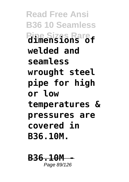**Read Free Ansi B36 10 Seamless Pipe Sizes Rare dimensions of welded and seamless wrought steel pipe for high or low temperatures & pressures are covered in B36.10M.**

**B36.10** Page 89/126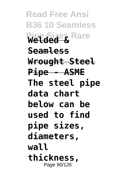**Read Free Ansi B36 10 Seamless Pipe Sizes Rare Welded & Seamless Wrought Steel Pipe - ASME The steel pipe data chart below can be used to find pipe sizes, diameters, wall thickness,** Page 90/126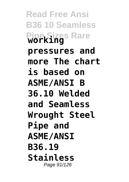**Read Free Ansi B36 10 Seamless Pipe Sizes Rare working pressures and more The chart is based on ASME/ANSI B 36.10 Welded and Seamless Wrought Steel Pipe and ASME/ANSI B36.19 Stainless** Page 91/126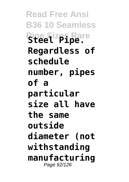**Read Free Ansi B36 10 Seamless Pipe Sizes Rare Steel Pipe. Regardless of schedule number, pipes of a particular size all have the same outside diameter (not withstanding manufacturing** Page 92/126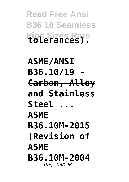**Read Free Ansi B36 10 Seamless Pipe Sizes Rare tolerances).**

**ASME/ANSI B36.10/19 - Carbon, Alloy and Stainless Steel ... ASME B36.10M-2015 [Revision of ASME B36.10M-2004** Page 93/126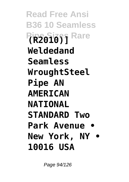**Read Free Ansi B36 10 Seamless Pipe Sizes Rare (R2010)] Weldedand Seamless WroughtSteel Pipe AN AMERICAN NATIONAL STANDARD Two Park Avenue • New York, NY • 10016 USA**

Page 94/126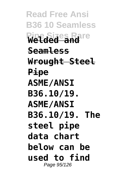**Read Free Ansi B36 10 Seamless Pipe Sizes Rare Welded and Seamless Wrought Steel Pipe ASME/ANSI B36.10/19. ASME/ANSI B36.10/19. The steel pipe data chart below can be used to find** Page 95/126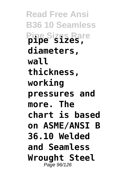**Read Free Ansi B36 10 Seamless Pipe Sizes Rare pipe sizes, diameters, wall thickness, working pressures and more. The chart is based on ASME/ANSI B 36.10 Welded and Seamless Wrought Steel** Page 96/126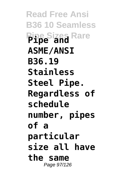**Read Free Ansi B36 10 Seamless Pipe Sizes Rare Pipe and ASME/ANSI B36.19 Stainless Steel Pipe. Regardless of schedule number, pipes of a particular size all have the same** Page 97/126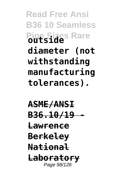**Read Free Ansi B36 10 Seamless Pipe Sizes Rare outside diameter (not withstanding manufacturing tolerances).**

**ASME/ANSI B36.10/19 - Lawrence Berkeley National Laboratory** Page 98/126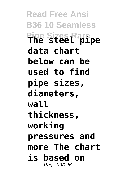**Read Free Ansi B36 10 Seamless Pipe Sizes Rare The steel pipe data chart below can be used to find pipe sizes, diameters, wall thickness, working pressures and more The chart is based on** Page 99/126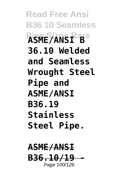**Read Free Ansi B36 10 Seamless Pipe Sizes Rare ASME/ANSI B 36.10 Welded and Seamless Wrought Steel Pipe and ASME/ANSI B36.19 Stainless Steel Pipe.**

**ASME/ANSI B36.10/19 -** Page 100/126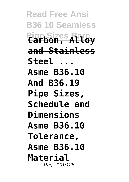**Read Free Ansi B36 10 Seamless Pipe Sizes Rare Carbon, Alloy and Stainless Steel ... Asme B36.10 And B36.19 Pipe Sizes, Schedule and Dimensions Asme B36.10 Tolerance, Asme B36.10 Material** Page 101/126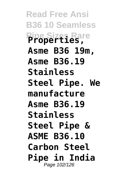**Read Free Ansi B36 10 Seamless Pipe Sizes Rare Properties, Asme B36 19m, Asme B36.19 Stainless Steel Pipe. We manufacture Asme B36.19 Stainless Steel Pipe & ASME B36.10 Carbon Steel Pipe in India** Page 102/126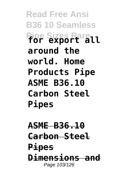**Read Free Ansi B36 10 Seamless Pipe Sizes Rare for export all around the world. Home Products Pipe ASME B36.10 Carbon Steel Pipes**

**ASME B36.10 Carbon Steel Pipes Dimensions and** Page 103/126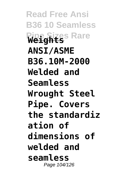**Read Free Ansi B36 10 Seamless Pipe Sizes Rare Weights ANSI/ASME B36.10M-2000 Welded and Seamless Wrought Steel Pipe. Covers the standardiz ation of dimensions of welded and seamless** Page 104/126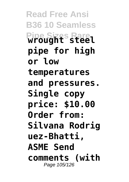**Read Free Ansi B36 10 Seamless Pipe Sizes Rare wrought steel pipe for high or low temperatures and pressures. Single copy price: \$10.00 Order from: Silvana Rodrig uez-Bhatti, ASME Send comments (with** Page 105/126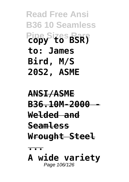**Read Free Ansi B36 10 Seamless Pipe Sizes Rare copy to BSR) to: James Bird, M/S 20S2, ASME**

## **ANSI/ASME B36.10M-2000 - Welded and Seamless Wrought Steel ...**

**A wide variety** Page 106/126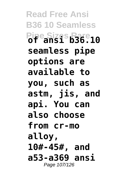**Read Free Ansi B36 10 Seamless Pipe Sizes Rare of ansi b36.10 seamless pipe options are available to you, such as astm, jis, and api. You can also choose from cr-mo alloy, 10#-45#, and a53-a369 ansi** Page 107/126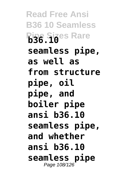**Read Free Ansi B36 10 Seamless Pipe Sizes Rare b36.10 seamless pipe, as well as from structure pipe, oil pipe, and boiler pipe ansi b36.10 seamless pipe, and whether ansi b36.10 seamless pipe** Page 108/126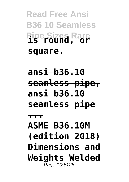## **Read Free Ansi B36 10 Seamless Pipe Sizes Rare is round, or square.**

**ansi b36.10 seamless pipe, ansi b36.10 seamless pipe**

**ASME B36.10M (edition 2018) Dimensions and Weights Welded** Page 109/126

**...**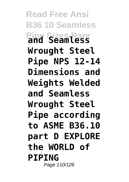**Read Free Ansi B36 10 Seamless Pipe Sizes Rare and Seamless Wrought Steel Pipe NPS 12-14 Dimensions and Weights Welded and Seamless Wrought Steel Pipe according to ASME B36.10 part D EXPLORE the WORLD of PIPING** Page 110/126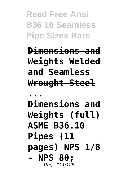**Read Free Ansi B36 10 Seamless Pipe Sizes Rare**

**Dimensions and Weights Welded and Seamless Wrought Steel**

**...**

**Dimensions and Weights (full) ASME B36.10 Pipes (11 pages) NPS 1/8 - NPS 80;** Page 111/126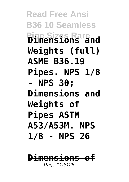**Read Free Ansi B36 10 Seamless Pipe Sizes Rare Dimensions and Weights (full) ASME B36.19 Pipes. NPS 1/8 - NPS 30; Dimensions and Weights of Pipes ASTM A53/A53M. NPS 1/8 - NPS 26**

**Dimensions of** Page 112/126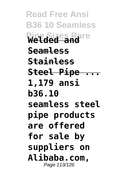**Read Free Ansi B36 10 Seamless Pipe Sizes Rare Welded and Seamless Stainless Steel Pipe ... 1,179 ansi b36.10 seamless steel pipe products are offered for sale by suppliers on Alibaba.com,** Page 113/126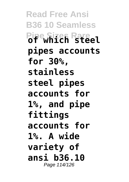**Read Free Ansi B36 10 Seamless Pipe Sizes Rare of which steel pipes accounts for 30%, stainless steel pipes accounts for 1%, and pipe fittings accounts for 1%. A wide variety of ansi b36.10** Page 114/126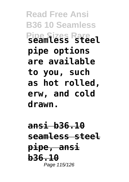**Read Free Ansi B36 10 Seamless Pipe Sizes Rare seamless steel pipe options are available to you, such as hot rolled, erw, and cold drawn.**

**ansi b36.10 seamless steel pipe, ansi b36.10** Page 115/126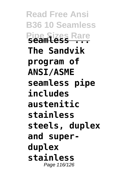**Read Free Ansi B36 10 Seamless Pipe Sizes Rare seamless ... The Sandvik program of ANSI/ASME seamless pipe includes austenitic stainless steels, duplex and superduplex stainless** Page 116/126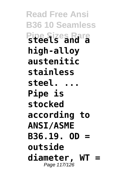**Read Free Ansi B36 10 Seamless Pipe Sizes Rare steels and a high-alloy austenitic stainless steel. ... Pipe is stocked according to ANSI/ASME B36.19. OD = outside diameter, WT =** Page 117/126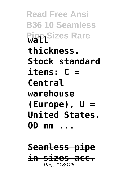**Read Free Ansi B36 10 Seamless Pipe Sizes Rare thickness. Stock standard items: C = Central warehouse (Europe), U = United States. OD mm ...**

**Seamless pipe in sizes acc.** Page 118/126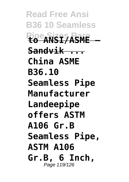**Read Free Ansi B36 10 Seamless Pipe Sizes Rare to ANSI/ASME — Sandvik ... China ASME B36.10 Seamless Pipe Manufacturer Landeepipe offers ASTM A106 Gr.B Seamless Pipe, ASTM A106 Gr.B, 6 Inch,** Page 119/126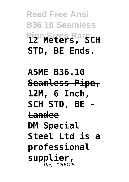## **Read Free Ansi B36 10 Seamless Pipe Sizes Rare 12 Meters, SCH STD, BE Ends.**

**ASME B36.10 Seamless Pipe, 12M, 6 Inch, SCH STD, BE - Landee DM Special Steel Ltd is a professional supplier,** Page 120/126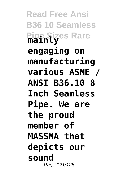**Read Free Ansi B36 10 Seamless Pipe Sizes Rare mainly engaging on manufacturing various ASME / ANSI B36.10 8 Inch Seamless Pipe. We are the proud member of MASSMA that depicts our sound** Page 121/126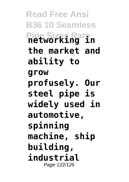**Read Free Ansi B36 10 Seamless Pipe Sizes Rare networking in the market and ability to grow profusely. Our steel pipe is widely used in automotive, spinning machine, ship building, industrial** Page 122/126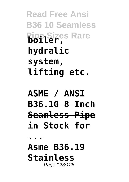**Read Free Ansi B36 10 Seamless Pipe Sizes Rare boiler, hydralic system, lifting etc.**

**ASME / ANSI B36.10 8 Inch Seamless Pipe in Stock for**

**...**

**Asme B36.19 Stainless** Page 123/126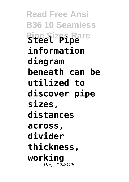**Read Free Ansi B36 10 Seamless Pipe Sizes Rare Steel Pipe information diagram beneath can be utilized to discover pipe sizes, distances across, divider thickness, working** Page 124/126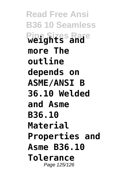**Read Free Ansi B36 10 Seamless Pipe Sizes Rare weights and more The outline depends on ASME/ANSI B 36.10 Welded and Asme B36.10 Material Properties and Asme B36.10 Tolerance** Page 125/126